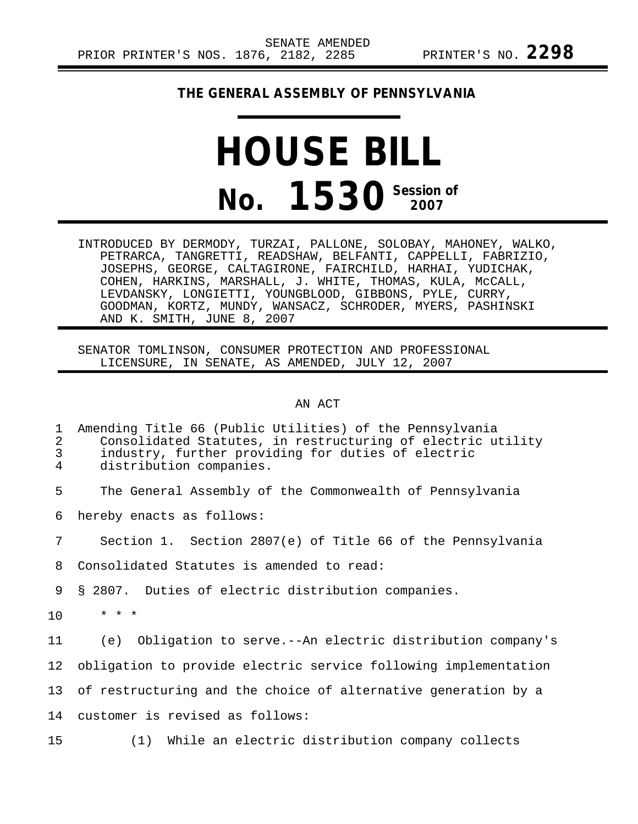## **THE GENERAL ASSEMBLY OF PENNSYLVANIA**

## **HOUSE BILL No. 1530** Session of

INTRODUCED BY DERMODY, TURZAI, PALLONE, SOLOBAY, MAHONEY, WALKO, PETRARCA, TANGRETTI, READSHAW, BELFANTI, CAPPELLI, FABRIZIO, JOSEPHS, GEORGE, CALTAGIRONE, FAIRCHILD, HARHAI, YUDICHAK, COHEN, HARKINS, MARSHALL, J. WHITE, THOMAS, KULA, McCALL, LEVDANSKY, LONGIETTI, YOUNGBLOOD, GIBBONS, PYLE, CURRY, GOODMAN, KORTZ, MUNDY, WANSACZ, SCHRODER, MYERS, PASHINSKI AND K. SMITH, JUNE 8, 2007

SENATOR TOMLINSON, CONSUMER PROTECTION AND PROFESSIONAL LICENSURE, IN SENATE, AS AMENDED, JULY 12, 2007

AN ACT

| 1<br>$\overline{2}$<br>$\mathfrak{Z}$<br>4 | Amending Title 66 (Public Utilities) of the Pennsylvania<br>Consolidated Statutes, in restructuring of electric utility<br>industry, further providing for duties of electric<br>distribution companies. |
|--------------------------------------------|----------------------------------------------------------------------------------------------------------------------------------------------------------------------------------------------------------|
| 5                                          | The General Assembly of the Commonwealth of Pennsylvania                                                                                                                                                 |
| 6                                          | hereby enacts as follows:                                                                                                                                                                                |
| 7                                          | Section 1. Section 2807(e) of Title 66 of the Pennsylvania                                                                                                                                               |
| 8                                          | Consolidated Statutes is amended to read:                                                                                                                                                                |
| 9                                          | § 2807. Duties of electric distribution companies.                                                                                                                                                       |
| 10                                         | $* * *$                                                                                                                                                                                                  |
| 11                                         | (e) Obligation to serve.--An electric distribution company's                                                                                                                                             |
| 12                                         | obligation to provide electric service following implementation                                                                                                                                          |
| 13                                         | of restructuring and the choice of alternative generation by a                                                                                                                                           |
| 14                                         | customer is revised as follows:                                                                                                                                                                          |
| 15                                         | (1) While an electric distribution company collects                                                                                                                                                      |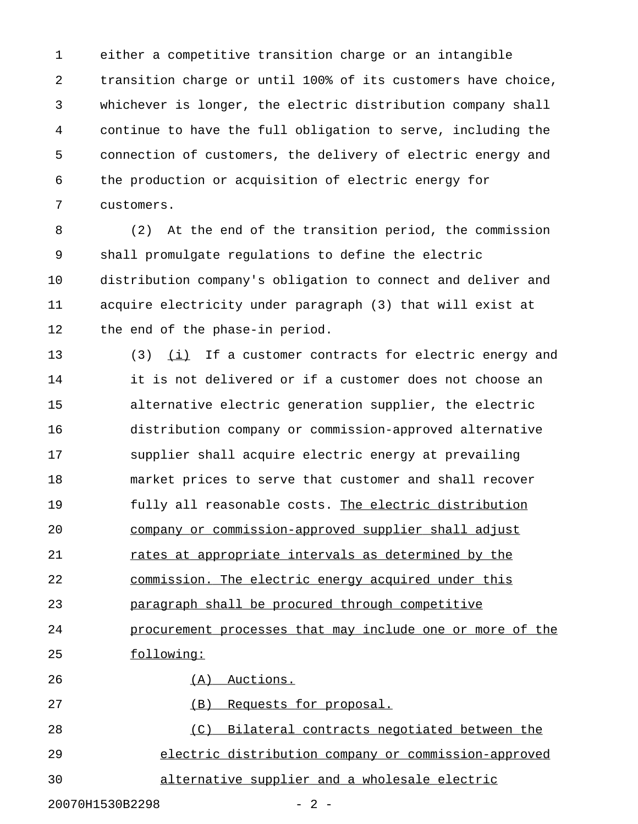1 either a competitive transition charge or an intangible 2 transition charge or until 100% of its customers have choice, 3 whichever is longer, the electric distribution company shall 4 continue to have the full obligation to serve, including the 5 connection of customers, the delivery of electric energy and 6 the production or acquisition of electric energy for 7 customers.

8 (2) At the end of the transition period, the commission 9 shall promulgate regulations to define the electric 10 distribution company's obligation to connect and deliver and 11 acquire electricity under paragraph (3) that will exist at 12 the end of the phase-in period.

13 (3)  $(i)$  If a customer contracts for electric energy and 14 it is not delivered or if a customer does not choose an 15 alternative electric generation supplier, the electric 16 distribution company or commission-approved alternative 17 supplier shall acquire electric energy at prevailing 18 market prices to serve that customer and shall recover 19 fully all reasonable costs. The electric distribution 20 company or commission-approved supplier shall adjust 21 rates at appropriate intervals as determined by the 22 commission. The electric energy acquired under this 23 paragraph shall be procured through competitive 24 procurement processes that may include one or more of the 25 following: 26 (A) Auctions. 27 (B) Requests for proposal. 28 (C) Bilateral contracts negotiated between the

29 electric distribution company or commission-approved

30 alternative supplier and a wholesale electric

20070H1530B2298 - 2 -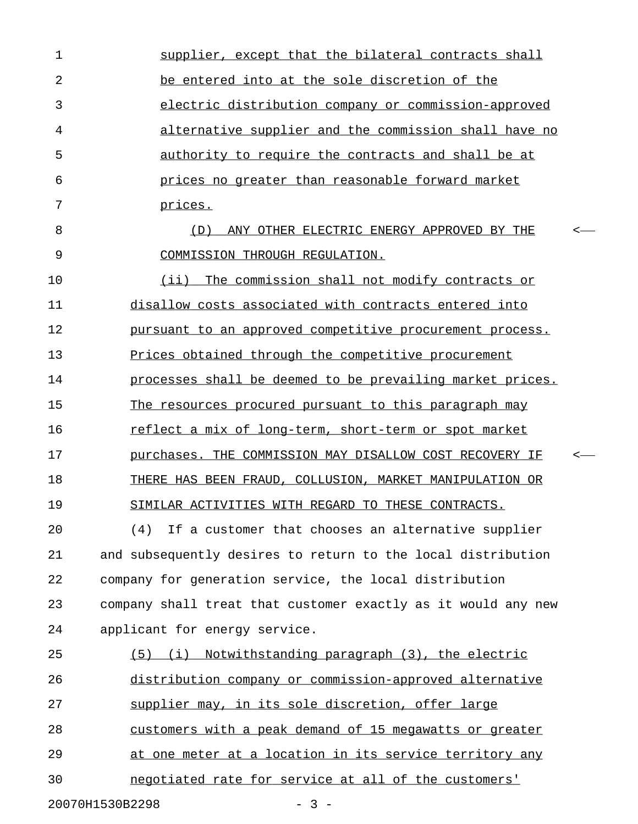1 supplier, except that the bilateral contracts shall 2 be entered into at the sole discretion of the 3 electric distribution company or commission-approved 4 alternative supplier and the commission shall have no 5 authority to require the contracts and shall be at 6 prices no greater than reasonable forward market 7 prices. 8 (D) ANY OTHER ELECTRIC ENERGY APPROVED BY THE < \_\_\_\_\_\_\_\_\_\_\_\_\_\_\_\_\_\_\_\_\_\_\_\_\_\_\_\_\_\_\_\_\_\_\_\_\_\_\_\_\_\_\_\_\_\_ 9 COMMISSION THROUGH REGULATION. 10 (ii) The commission shall not modify contracts or 11 disallow costs associated with contracts entered into 12 pursuant to an approved competitive procurement process. 13 Prices obtained through the competitive procurement 14 **processes shall be deemed to be prevailing market prices.** 15 The resources procured pursuant to this paragraph may 16 reflect a mix of long-term, short-term or spot market 17 purchases. THE COMMISSION MAY DISALLOW COST RECOVERY IF  $\sim$ 18 THERE HAS BEEN FRAUD, COLLUSION, MARKET MANIPULATION OR 19 SIMILAR ACTIVITIES WITH REGARD TO THESE CONTRACTS. 20 (4) If a customer that chooses an alternative supplier 21 and subsequently desires to return to the local distribution 22 company for generation service, the local distribution 23 company shall treat that customer exactly as it would any new 24 applicant for energy service. 25 (5) (i) Notwithstanding paragraph (3), the electric 26 distribution company or commission-approved alternative 27 supplier may, in its sole discretion, offer large 28 customers with a peak demand of 15 megawatts or greater 29 at one meter at a location in its service territory any 30 negotiated rate for service at all of the customers' 20070H1530B2298 - 3 -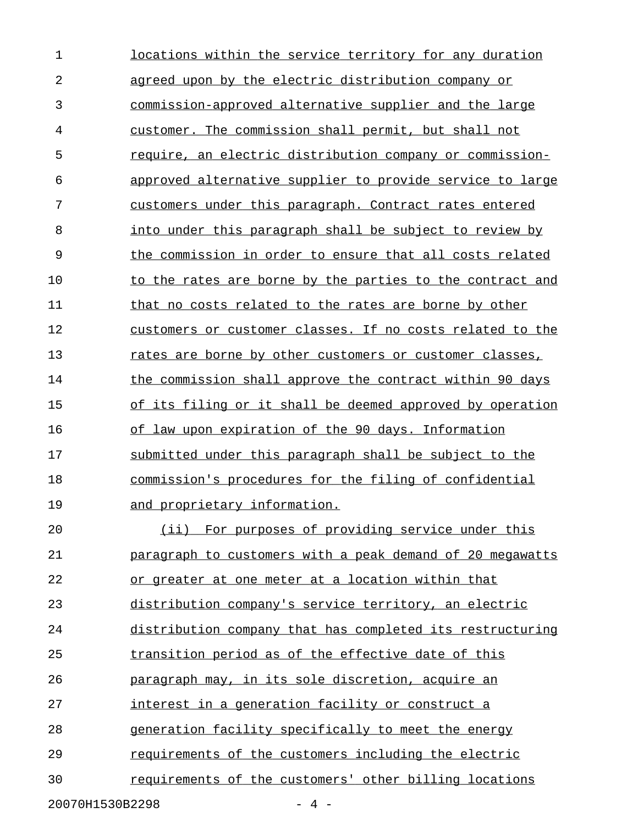1 locations within the service territory for any duration 2 agreed upon by the electric distribution company or 3 commission-approved alternative supplier and the large 4 customer. The commission shall permit, but shall not 5 require, an electric distribution company or commission- \_\_\_\_\_\_\_\_\_\_\_\_\_\_\_\_\_\_\_\_\_\_\_\_\_\_\_\_\_\_\_\_\_\_\_\_\_\_\_\_\_\_\_\_\_\_\_\_\_\_\_\_\_\_\_\_ 6 approved alternative supplier to provide service to large 7 customers under this paragraph. Contract rates entered 8 into under this paragraph shall be subject to review by 9 the commission in order to ensure that all costs related 10 to the rates are borne by the parties to the contract and 11 that no costs related to the rates are borne by other 12 customers or customer classes. If no costs related to the 13 rates are borne by other customers or customer classes, 14 the commission shall approve the contract within 90 days 15 of its filing or it shall be deemed approved by operation 16 of law upon expiration of the 90 days. Information 17 submitted under this paragraph shall be subject to the 18 commission's procedures for the filing of confidential 19 and proprietary information. 20 (ii) For purposes of providing service under this 21 **paragraph to customers with a peak demand of 20 megawatts** 22 or greater at one meter at a location within that 23 distribution company's service territory, an electric 24 distribution company that has completed its restructuring 25 transition period as of the effective date of this 26 **paragraph may, in its sole discretion, acquire an** 27 interest in a generation facility or construct a 28 generation facility specifically to meet the energy 29 requirements of the customers including the electric 30 requirements of the customers' other billing locations

20070H1530B2298 - 4 -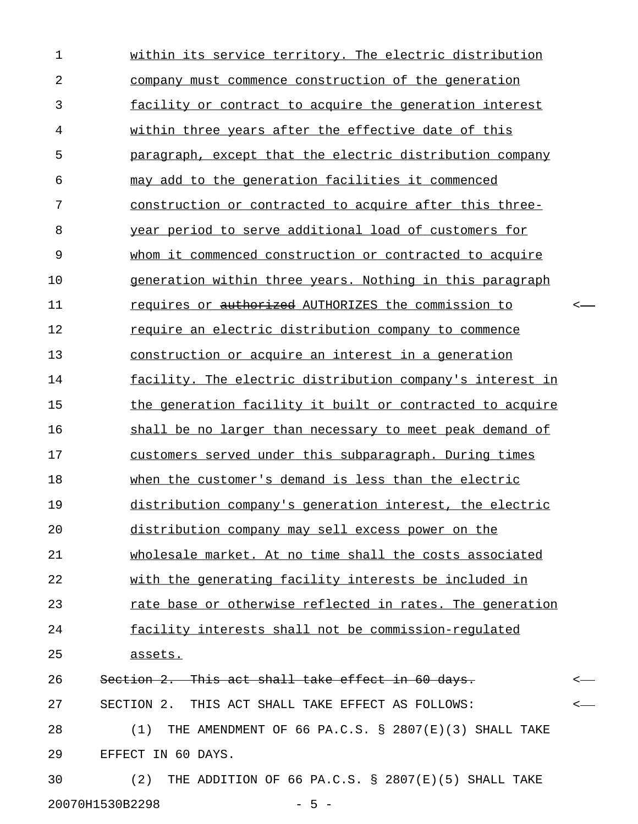1 within its service territory. The electric distribution 2 company must commence construction of the generation 3 **facility or contract to acquire the generation interest** 4 within three years after the effective date of this 5 paragraph, except that the electric distribution company 6 may add to the generation facilities it commenced 7 construction or contracted to acquire after this three-8 year period to serve additional load of customers for 9 whom it commenced construction or contracted to acquire 10 generation within three years. Nothing in this paragraph 11 requires or <del>authorized</del> AUTHORIZES the commission to  $\sim$ 12 require an electric distribution company to commence 13 construction or acquire an interest in a generation 14 facility. The electric distribution company's interest in 15 the generation facility it built or contracted to acquire 16 shall be no larger than necessary to meet peak demand of 17 customers served under this subparagraph. During times 18 when the customer's demand is less than the electric 19 distribution company's generation interest, the electric 20 distribution company may sell excess power on the 21 wholesale market. At no time shall the costs associated 22 with the generating facility interests be included in 23 rate base or otherwise reflected in rates. The generation 24 facility interests shall not be commission-requlated 25 assets. \_\_\_\_\_\_\_ 26 Section 2. This act shall take effect in 60 days.  $\sim$ 27 SECTION 2. THIS ACT SHALL TAKE EFFECT AS FOLLOWS: < 28 (1) THE AMENDMENT OF 66 PA.C.S. § 2807(E)(3) SHALL TAKE 29 EFFECT IN 60 DAYS. 30 (2) THE ADDITION OF 66 PA.C.S. § 2807(E)(5) SHALL TAKE

20070H1530B2298 - 5 -